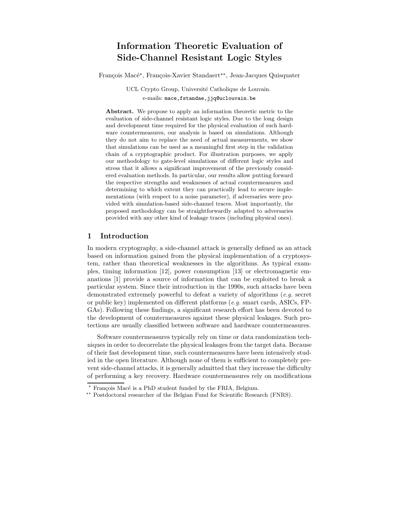# Information Theoretic Evaluation of Side-Channel Resistant Logic Styles

François Macé\*, François-Xavier Standaert\*\*, Jean-Jacques Quisquater

UCL Crypto Group, Université Catholique de Louvain. e-mails: mace,fstandae,jjq@uclouvain.be

Abstract. We propose to apply an information theoretic metric to the evaluation of side-channel resistant logic styles. Due to the long design and development time required for the physical evaluation of such hardware countermeasures, our analysis is based on simulations. Although they do not aim to replace the need of actual measurements, we show that simulations can be used as a meaningful first step in the validation chain of a cryptographic product. For illustration purposes, we apply our methodology to gate-level simulations of different logic styles and stress that it allows a significant improvement of the previously considered evaluation methods. In particular, our results allow putting forward the respective strengths and weaknesses of actual countermeasures and determining to which extent they can practically lead to secure implementations (with respect to a noise parameter), if adversaries were provided with simulation-based side-channel traces. Most importantly, the proposed methodology can be straightforwardly adapted to adversaries provided with any other kind of leakage traces (including physical ones).

## 1 Introduction

In modern cryptography, a side-channel attack is generally defined as an attack based on information gained from the physical implementation of a cryptosystem, rather than theoretical weaknesses in the algorithms. As typical examples, timing information [12], power consumption [13] or electromagnetic emanations [1] provide a source of information that can be exploited to break a particular system. Since their introduction in the 1990s, such attacks have been demonstrated extremely powerful to defeat a variety of algorithms (e.g. secret or public key) implemented on different platforms  $(e.g.$  smart cards, ASICs, FP-GAs). Following these findings, a significant research effort has been devoted to the development of countermeasures against these physical leakages. Such protections are usually classified between software and hardware countermeasures.

Software countermeasures typically rely on time or data randomization techniques in order to decorrelate the physical leakages from the target data. Because of their fast development time, such countermeasures have been intensively studied in the open literature. Although none of them is sufficient to completely prevent side-channel attacks, it is generally admitted that they increase the difficulty of performing a key recovery. Hardware countermeasures rely on modifications

<sup>\*</sup> François Macé is a PhD student funded by the FRIA, Belgium.

<sup>\*\*</sup> Postdoctoral researcher of the Belgian Fund for Scientific Research (FNRS).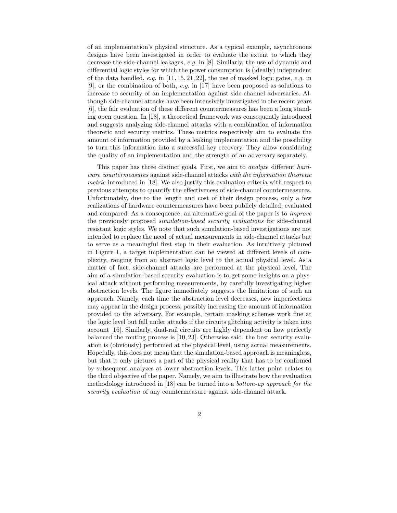of an implementation's physical structure. As a typical example, asynchronous designs have been investigated in order to evaluate the extent to which they decrease the side-channel leakages, e.g. in [8]. Similarly, the use of dynamic and differential logic styles for which the power consumption is (ideally) independent of the data handled, e.g. in  $[11, 15, 21, 22]$ , the use of masked logic gates, e.g. in [9], or the combination of both, e.g. in [17] have been proposed as solutions to increase to security of an implementation against side-channel adversaries. Although side-channel attacks have been intensively investigated in the recent years [6], the fair evaluation of these different countermeasures has been a long standing open question. In [18], a theoretical framework was consequently introduced and suggests analyzing side-channel attacks with a combination of information theoretic and security metrics. These metrics respectively aim to evaluate the amount of information provided by a leaking implementation and the possibility to turn this information into a successful key recovery. They allow considering the quality of an implementation and the strength of an adversary separately.

This paper has three distinct goals. First, we aim to analyze different hardware countermeasures against side-channel attacks with the information theoretic metric introduced in [18]. We also justify this evaluation criteria with respect to previous attempts to quantify the effectiveness of side-channel countermeasures. Unfortunately, due to the length and cost of their design process, only a few realizations of hardware countermeasures have been publicly detailed, evaluated and compared. As a consequence, an alternative goal of the paper is to improve the previously proposed simulation-based security evaluations for side-channel resistant logic styles. We note that such simulation-based investigations are not intended to replace the need of actual measurements in side-channel attacks but to serve as a meaningful first step in their evaluation. As intuitively pictured in Figure 1, a target implementation can be viewed at different levels of complexity, ranging from an abstract logic level to the actual physical level. As a matter of fact, side-channel attacks are performed at the physical level. The aim of a simulation-based security evaluation is to get some insights on a physical attack without performing measurements, by carefully investigating higher abstraction levels. The figure immediately suggests the limitations of such an approach. Namely, each time the abstraction level decreases, new imperfections may appear in the design process, possibly increasing the amount of information provided to the adversary. For example, certain masking schemes work fine at the logic level but fall under attacks if the circuits glitching activity is taken into account [16]. Similarly, dual-rail circuits are highly dependent on how perfectly balanced the routing process is [10, 23]. Otherwise said, the best security evaluation is (obviously) performed at the physical level, using actual measurements. Hopefully, this does not mean that the simulation-based approach is meaningless, but that it only pictures a part of the physical reality that has to be confirmed by subsequent analyzes at lower abstraction levels. This latter point relates to the third objective of the paper. Namely, we aim to illustrate how the evaluation methodology introduced in [18] can be turned into a bottom-up approach for the security evaluation of any countermeasure against side-channel attack.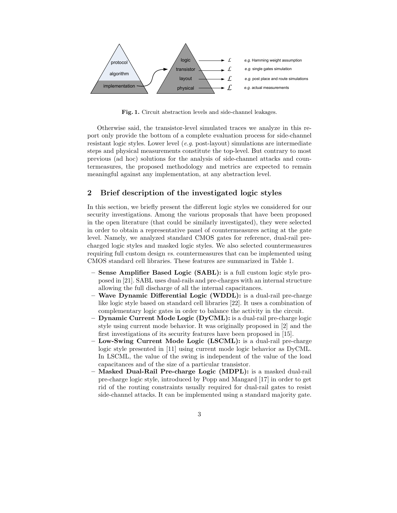

Fig. 1. Circuit abstraction levels and side-channel leakages.

Otherwise said, the transistor-level simulated traces we analyze in this report only provide the bottom of a complete evaluation process for side-channel resistant logic styles. Lower level  $(e,q)$  post-layout) simulations are intermediate steps and physical measurements constitute the top-level. But contrary to most previous (ad hoc) solutions for the analysis of side-channel attacks and countermeasures, the proposed methodology and metrics are expected to remain meaningful against any implementation, at any abstraction level.

## 2 Brief description of the investigated logic styles

In this section, we briefly present the different logic styles we considered for our security investigations. Among the various proposals that have been proposed in the open literature (that could be similarly investigated), they were selected in order to obtain a representative panel of countermeasures acting at the gate level. Namely, we analyzed standard CMOS gates for reference, dual-rail precharged logic styles and masked logic styles. We also selected countermeasures requiring full custom design vs. countermeasures that can be implemented using CMOS standard cell libraries. These features are summarized in Table 1.

- Sense Amplifier Based Logic (SABL): is a full custom logic style proposed in [21]. SABL uses dual-rails and pre-charges with an internal structure allowing the full discharge of all the internal capacitances.
- Wave Dynamic Differential Logic (WDDL): is a dual-rail pre-charge like logic style based on standard cell libraries [22]. It uses a combination of complementary logic gates in order to balance the activity in the circuit.
- Dynamic Current Mode Logic (DyCML): is a dual-rail pre-charge logic style using current mode behavior. It was originally proposed in [2] and the first investigations of its security features have been proposed in [15].
- Low-Swing Current Mode Logic (LSCML): is a dual-rail pre-charge logic style presented in [11] using current mode logic behavior as DyCML. In LSCML, the value of the swing is independent of the value of the load capacitances and of the size of a particular transistor.
- Masked Dual-Rail Pre-charge Logic (MDPL): is a masked dual-rail pre-charge logic style, introduced by Popp and Mangard [17] in order to get rid of the routing constraints usually required for dual-rail gates to resist side-channel attacks. It can be implemented using a standard majority gate.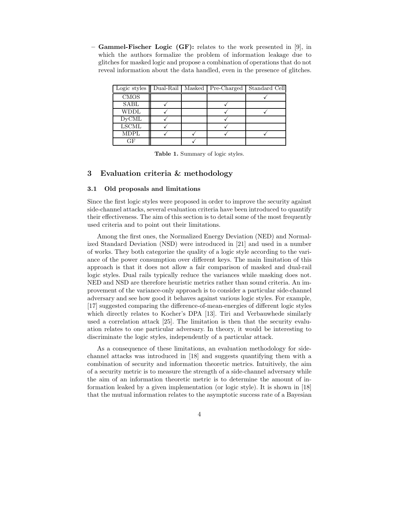**Gammel-Fischer Logic (GF):** relates to the work presented in [9], in which the authors formalize the problem of information leakage due to glitches for masked logic and propose a combination of operations that do not reveal information about the data handled, even in the presence of glitches.

|              |  | Logic styles   Dual-Rail   Masked   Pre-Charged | Standard Cell |
|--------------|--|-------------------------------------------------|---------------|
| <b>CMOS</b>  |  |                                                 |               |
| <b>SABL</b>  |  |                                                 |               |
| <b>WDDL</b>  |  |                                                 |               |
| DyCML        |  |                                                 |               |
| <b>LSCML</b> |  |                                                 |               |
| <b>MDPL</b>  |  |                                                 |               |
| GF           |  |                                                 |               |

Table 1. Summary of logic styles.

## 3 Evaluation criteria & methodology

#### 3.1 Old proposals and limitations

Since the first logic styles were proposed in order to improve the security against side-channel attacks, several evaluation criteria have been introduced to quantify their effectiveness. The aim of this section is to detail some of the most frequently used criteria and to point out their limitations.

Among the first ones, the Normalized Energy Deviation (NED) and Normalized Standard Deviation (NSD) were introduced in [21] and used in a number of works. They both categorize the quality of a logic style according to the variance of the power consumption over different keys. The main limitation of this approach is that it does not allow a fair comparison of masked and dual-rail logic styles. Dual rails typically reduce the variances while masking does not. NED and NSD are therefore heuristic metrics rather than sound criteria. An improvement of the variance-only approach is to consider a particular side-channel adversary and see how good it behaves against various logic styles. For example, [17] suggested comparing the difference-of-mean-energies of different logic styles which directly relates to Kocher's DPA [13]. Tiri and Verbauwhede similarly used a correlation attack [25]. The limitation is then that the security evaluation relates to one particular adversary. In theory, it would be interesting to discriminate the logic styles, independently of a particular attack.

As a consequence of these limitations, an evaluation methodology for sidechannel attacks was introduced in [18] and suggests quantifying them with a combination of security and information theoretic metrics. Intuitively, the aim of a security metric is to measure the strength of a side-channel adversary while the aim of an information theoretic metric is to determine the amount of information leaked by a given implementation (or logic style). It is shown in [18] that the mutual information relates to the asymptotic success rate of a Bayesian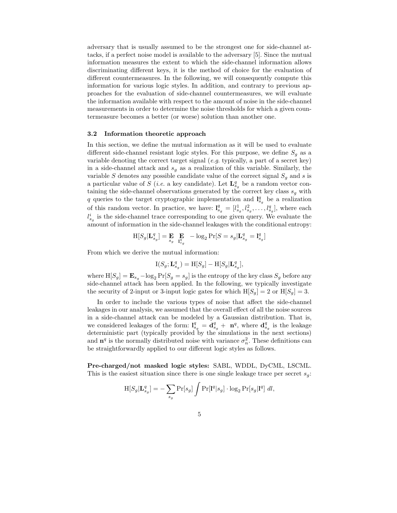adversary that is usually assumed to be the strongest one for side-channel attacks, if a perfect noise model is available to the adversary [5]. Since the mutual information measures the extent to which the side-channel information allows discriminating different keys, it is the method of choice for the evaluation of different countermeasures. In the following, we will consequently compute this information for various logic styles. In addition, and contrary to previous approaches for the evaluation of side-channel countermeasures, we will evaluate the information available with respect to the amount of noise in the side-channel measurements in order to determine the noise thresholds for which a given countermeasure becomes a better (or worse) solution than another one.

## 3.2 Information theoretic approach

In this section, we define the mutual information as it will be used to evaluate different side-channel resistant logic styles. For this purpose, we define  $S_g$  as a variable denoting the correct target signal  $(e.g.$  typically, a part of a secret key) in a side-channel attack and  $s_q$  as a realization of this variable. Similarly, the variable S denotes any possible candidate value of the correct signal  $S_q$  and s is a particular value of S (*i.e.* a key candidate). Let  $\mathbf{L}_{s_g}^q$  be a random vector containing the side-channel observations generated by the correct key class  $s_g$  with q queries to the target cryptographic implementation and  $\mathbf{l}_{s_g}^q$  be a realization of this random vector. In practice, we have:  $I_{s_g}^q = [l_{s_g}^1, l_{s_g}^2, \ldots, l_{s_g}^q]$ , where each  $l_{s_g}^i$  is the side-channel trace corresponding to one given query. We evaluate the amount of information in the side-channel leakages with the conditional entropy:

$$
\mathcal{H}[S_g | \mathbf{L}_{s_g}^q] = \mathbf{E} \underset{s_g}{\mathbf{E}} \mathbf{E} \quad -\log_2 \Pr[S = s_g | \mathbf{L}_{s_g}^q = \mathbf{l}_{s_g}^q]
$$

From which we derive the mutual information:

$$
\mathcal{I}(S_g; {\bf L}^q_{s_g}) = \mathcal{H}[S_g]-\mathcal{H}[S_g|{\bf L}^q_{s_g}],
$$

where  $H[S_g] = \mathbf{E}_{s_g} - \log_2 \Pr[S_g = s_g]$  is the entropy of the key class  $S_g$  before any side-channel attack has been applied. In the following, we typically investigate the security of 2-input or 3-input logic gates for which  $H[S_q] = 2$  or  $H[S_q] = 3$ .

In order to include the various types of noise that affect the side-channel leakages in our analysis, we assumed that the overall effect of all the noise sources in a side-channel attack can be modeled by a Gaussian distribution. That is, we considered leakages of the form:  $\mathbf{l}_{s_g}^q = \mathbf{d}_{s_g}^q + \mathbf{n}^q$ , where  $\mathbf{d}_{s_g}^q$  is the leakage deterministic part (typically provided by the simulations in the next sections) and  $\mathbf{n}^q$  is the normally distributed noise with variance  $\sigma_n^2$ . These definitions can be straightforwardly applied to our different logic styles as follows.

Pre-charged/not masked logic styles: SABL, WDDL, DyCML, LSCML. This is the easiest situation since there is one single leakage trace per secret  $s<sub>a</sub>$ :

$$
H[S_g | L_{s_g}^q] = -\sum_{s_g} \Pr[s_g] \int \Pr[1^q | s_g] \cdot \log_2 \Pr[s_g | 1^q] \, dl,
$$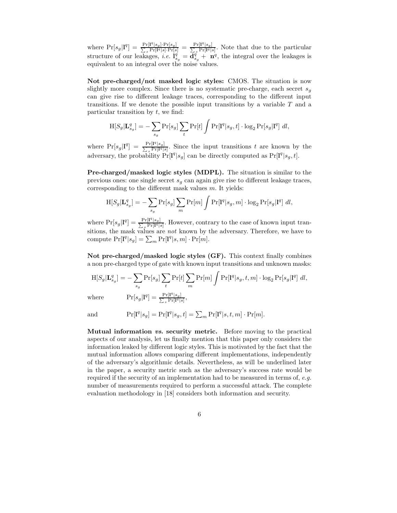where  $Pr[s_g|\mathbf{l}^q] = \frac{Pr[\mathbf{l}^q]}{\sum_{\mathbf{P}} P}$  $\frac{\Pr[\mathbf{l}^q | s_g] \cdot \Pr[s_g]}{\sum_s \Pr[\mathbf{l}^q | s] \cdot \Pr[s]} \, = \, \frac{\Pr[\mathbf{l}^q]}{\sum_s \Pr}$  $\frac{\Pr[I^{q}|s_{g}]}{\sum_{s}\Pr[I^{q}|s]}$ . Note that due to the particular structure of our leakages, *i.e.*  $\mathbf{l}_{s_g}^q = \overline{\mathbf{d}_{s_g}^q} + \mathbf{n}^q$ , the integral over the leakages is equivalent to an integral over the noise values.

Not pre-charged/not masked logic styles: CMOS. The situation is now slightly more complex. Since there is no systematic pre-charge, each secret  $s_a$ can give rise to different leakage traces, corresponding to the different input transitions. If we denote the possible input transitions by a variable T and a particular transition by  $t$ , we find:

$$
H[S_g|{\bf L}_{s_g}^q] = -\sum_{s_g} \Pr[s_g] \sum_t \Pr[t] \int \Pr[{\bf l}^q | s_g, t] \cdot \log_2 \Pr[s_g|{\bf l}^q] \ dt,
$$

where  $Pr[s_g|\mathbf{l}^q] = \frac{Pr[\mathbf{l}^q]}{\sum Pr[\mathbf{l}^q]}$  $\frac{\Pr[\mathbf{l}^q|s_g]}{\sum_s \Pr[\mathbf{l}^q|s]}$ . Since the input transitions t are known by the adversary, the probability  $Pr[{\bf 1}^q | s_g]$  can be directly computed as  $Pr[{\bf 1}^q | s_g, t]$ .

Pre-charged/masked logic styles (MDPL). The situation is similar to the previous ones: one single secret  $s_q$  can again give rise to different leakage traces, corresponding to the different mask values  $m$ . It yields:

$$
H[S_g | L_{s_g}^q] = -\sum_{s_g} \Pr[s_g] \sum_m \Pr[m] \int \Pr[l^q | s_g, m] \cdot \log_2 \Pr[s_g | l^q] \ dl,
$$

where  $Pr[s_g|\mathbf{l}^q] = \frac{Pr[\mathbf{l}^q]}{\sum_{\text{Pr}}P_r}$  $\frac{\Pr[\mathbf{l}^q|s_g]}{\sum_s \Pr[\mathbf{l}^q|s]}$ . However, contrary to the case of known input transitions, the mask values are *not* known by the adversary. Therefore, we have to compute  $Pr[{\bf l}^q | s_g] = \sum_m Pr[{\bf l}^q | s,m] \cdot Pr[m].$ 

Not pre-charged/masked logic styles (GF). This context finally combines a non pre-charged type of gate with known input transitions and unknown masks:

$$
H[S_g | L_{s_g}^q] = -\sum_{s_g} Pr[s_g] \sum_t Pr[t] \sum_m Pr[m] \int Pr[l^q | s_g, t, m] \cdot \log_2 Pr[s_g | l^q] dl,
$$
  
where 
$$
Pr[s_g | l^q] = \frac{Pr[l^q | s_g]}{\sum_s Pr[l^q | s]}.
$$

and

$$
\Pr[\mathbf{l}^q | s_g] = \Pr[\mathbf{l}^q | s_g, t] = \sum_m \Pr[\mathbf{l}^q | s, t, m] \cdot \Pr[m].
$$

Mutual information vs. security metric. Before moving to the practical aspects of our analysis, let us finally mention that this paper only considers the information leaked by different logic styles. This is motivated by the fact that the mutual information allows comparing different implementations, independently of the adversary's algorithmic details. Nevertheless, as will be underlined later in the paper, a security metric such as the adversary's success rate would be required if the security of an implementation had to be measured in terms of, e.g. number of measurements required to perform a successful attack. The complete evaluation methodology in [18] considers both information and security.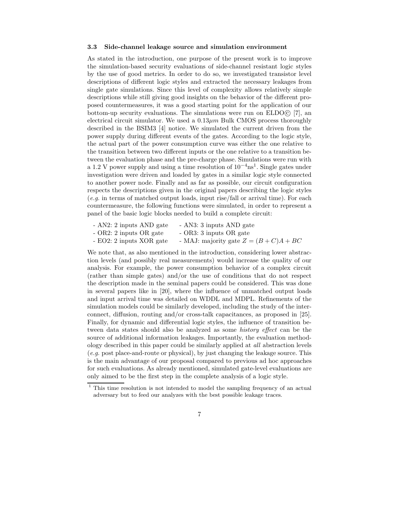#### 3.3 Side-channel leakage source and simulation environment

As stated in the introduction, one purpose of the present work is to improve the simulation-based security evaluations of side-channel resistant logic styles by the use of good metrics. In order to do so, we investigated transistor level descriptions of different logic styles and extracted the necessary leakages from single gate simulations. Since this level of complexity allows relatively simple descriptions while still giving good insights on the behavior of the different proposed countermeasures, it was a good starting point for the application of our bottom-up security evaluations. The simulations were run on  $ELDO\odot$  [7], an electrical circuit simulator. We used a  $0.13 \mu m$  Bulk CMOS process thoroughly described in the BSIM3 [4] notice. We simulated the current driven from the power supply during different events of the gates. According to the logic style, the actual part of the power consumption curve was either the one relative to the transition between two different inputs or the one relative to a transition between the evaluation phase and the pre-charge phase. Simulations were run with a 1.2 V power supply and using a time resolution of  $10^{-4}$ ns<sup>1</sup>. Single gates under investigation were driven and loaded by gates in a similar logic style connected to another power node. Finally and as far as possible, our circuit configuration respects the descriptions given in the original papers describing the logic styles (e.g. in terms of matched output loads, input rise/fall or arrival time). For each countermeasure, the following functions were simulated, in order to represent a panel of the basic logic blocks needed to build a complete circuit:

| - AN2: 2 inputs AND gate | - AN3: 3 inputs AND gate               |
|--------------------------|----------------------------------------|
| - OR2: 2 inputs OR gate  | - OR3: 3 inputs OR gate                |
| - EO2: 2 inputs XOR gate | - MAJ: majority gate $Z = (B+C)A + BC$ |

We note that, as also mentioned in the introduction, considering lower abstraction levels (and possibly real measurements) would increase the quality of our analysis. For example, the power consumption behavior of a complex circuit (rather than simple gates) and/or the use of conditions that do not respect the description made in the seminal papers could be considered. This was done in several papers like in [20], where the influence of unmatched output loads and input arrival time was detailed on WDDL and MDPL. Refinements of the simulation models could be similarly developed, including the study of the interconnect, diffusion, routing and/or cross-talk capacitances, as proposed in [25]. Finally, for dynamic and differential logic styles, the influence of transition between data states should also be analyzed as some history effect can be the source of additional information leakages. Importantly, the evaluation methodology described in this paper could be similarly applied at all abstraction levels (e.g. post place-and-route or physical), by just changing the leakage source. This is the main advantage of our proposal compared to previous ad hoc approaches for such evaluations. As already mentioned, simulated gate-level evaluations are only aimed to be the first step in the complete analysis of a logic style.

<sup>1</sup> This time resolution is not intended to model the sampling frequency of an actual adversary but to feed our analyzes with the best possible leakage traces.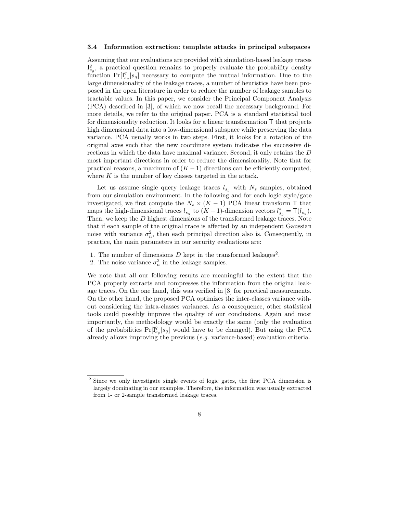#### 3.4 Information extraction: template attacks in principal subspaces

Assuming that our evaluations are provided with simulation-based leakage traces  $\mathbf{l}_{s_g}^q$ , a practical question remains to properly evaluate the probability density function  $Pr[I_{s_g}^q | s_g]$  necessary to compute the mutual information. Due to the large dimensionality of the leakage traces, a number of heuristics have been proposed in the open literature in order to reduce the number of leakage samples to tractable values. In this paper, we consider the Principal Component Analysis (PCA) described in [3], of which we now recall the necessary background. For more details, we refer to the original paper. PCA is a standard statistical tool for dimensionality reduction. It looks for a linear transformation T that projects high dimensional data into a low-dimensional subspace while preserving the data variance. PCA usually works in two steps. First, it looks for a rotation of the original axes such that the new coordinate system indicates the successive directions in which the data have maximal variance. Second, it only retains the D most important directions in order to reduce the dimensionality. Note that for practical reasons, a maximum of  $(K-1)$  directions can be efficiently computed, where  $K$  is the number of key classes targeted in the attack.

Let us assume single query leakage traces  $l_{s_g}$  with  $N_s$  samples, obtained from our simulation environment. In the following and for each logic style/gate investigated, we first compute the  $N_s \times (K-1)$  PCA linear transform T that maps the high-dimensional traces  $l_{s_g}$  to  $(K-1)$ -dimension vectors  $l_{s_g}^* = \mathsf{T}(l_{s_g})$ . Then, we keep the D highest dimensions of the transformed leakage traces. Note that if each sample of the original trace is affected by an independent Gaussian noise with variance  $\sigma_n^2$ , then each principal direction also is. Consequently, in practice, the main parameters in our security evaluations are:

- 1. The number of dimensions  $D$  kept in the transformed leakages<sup>2</sup>.
- 2. The noise variance  $\sigma_n^2$  in the leakage samples.

We note that all our following results are meaningful to the extent that the PCA properly extracts and compresses the information from the original leakage traces. On the one hand, this was verified in [3] for practical measurements. On the other hand, the proposed PCA optimizes the inter-classes variance without considering the intra-classes variances. As a consequence, other statistical tools could possibly improve the quality of our conclusions. Again and most importantly, the methodology would be exactly the same (only the evaluation of the probabilities  $Pr[I_{s_g}^q | s_g]$  would have to be changed). But using the PCA already allows improving the previous (e.g. variance-based) evaluation criteria.

<sup>&</sup>lt;sup>2</sup> Since we only investigate single events of logic gates, the first PCA dimension is largely dominating in our examples. Therefore, the information was usually extracted from 1- or 2-sample transformed leakage traces.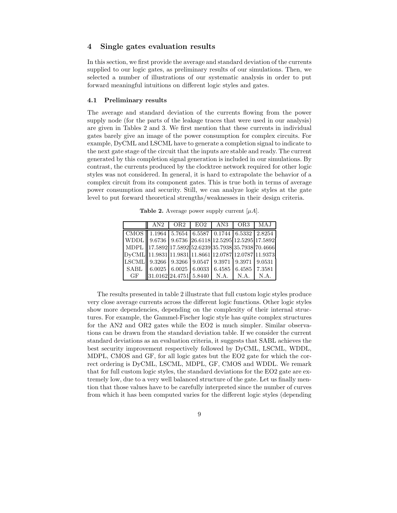## 4 Single gates evaluation results

In this section, we first provide the average and standard deviation of the currents supplied to our logic gates, as preliminary results of our simulations. Then, we selected a number of illustrations of our systematic analysis in order to put forward meaningful intuitions on different logic styles and gates.

#### 4.1 Preliminary results

The average and standard deviation of the currents flowing from the power supply node (for the parts of the leakage traces that were used in our analysis) are given in Tables 2 and 3. We first mention that these currents in individual gates barely give an image of the power consumption for complex circuits. For example, DyCML and LSCML have to generate a completion signal to indicate to the next gate stage of the circuit that the inputs are stable and ready. The current generated by this completion signal generation is included in our simulations. By contrast, the currents produced by the clocktree network required for other logic styles was not considered. In general, it is hard to extrapolate the behavior of a complex circuit from its component gates. This is true both in terms of average power consumption and security. Still, we can analyze logic styles at the gate level to put forward theoretical strengths/weaknesses in their design criteria.

 $AN2$  |  $OR2$  |  $EO2$  |  $AN3$  |  $OR3$  |  $MAJ$ CMOS || 1.1964 | 5.7654 | 6.5587 | 0.1744 | 6.5332 | 2.8254 WDDL 9.6736 9.6736 26.6118 12.5295 12.5295 17.5892 MDPL | 17.5892 17.5892 52.6239 35.7938 35.7938 70.4666 DyCML 11.9831 11.9831 11.8661 12.0787 12.0787 11.9373 LSCML 9.3266 9.3266 9.0547 9.3971 9.3971 9.0531 SABL || 6.0025 | 6.0025 | 6.0033 | 6.4585 | 6.4585 | 7.3581 GF ||31.0162||24.4751||5.8440 | N.A. | N.A. | N.A.

**Table 2.** Average power supply current  $[\mu A]$ .

The results presented in table 2 illustrate that full custom logic styles produce very close average currents across the different logic functions. Other logic styles show more dependencies, depending on the complexity of their internal structures. For example, the Gammel-Fischer logic style has quite complex structures for the AN2 and OR2 gates while the EO2 is much simpler. Similar observations can be drawn from the standard deviation table. If we consider the current standard deviations as an evaluation criteria, it suggests that SABL achieves the best security improvement respectively followed by DyCML, LSCML, WDDL, MDPL, CMOS and GF, for all logic gates but the EO2 gate for which the correct ordering is DyCML, LSCML, MDPL, GF, CMOS and WDDL. We remark that for full custom logic styles, the standard deviations for the EO2 gate are extremely low, due to a very well balanced structure of the gate. Let us finally mention that those values have to be carefully interpreted since the number of curves from which it has been computed varies for the different logic styles (depending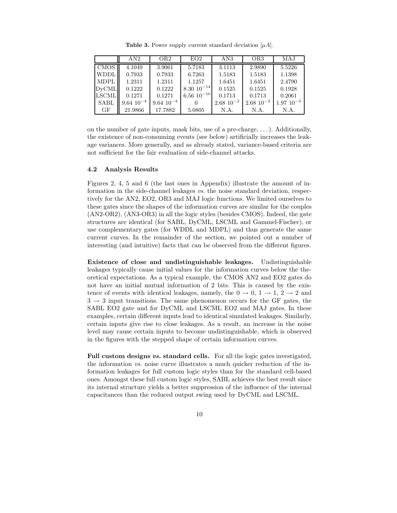|              | AN2            | OR <sub>2</sub>   | EO2               | AN3               | OR <sub>3</sub>   | MAJ               |
|--------------|----------------|-------------------|-------------------|-------------------|-------------------|-------------------|
| <b>CMOS</b>  | 4.1049         | 3.9061            | 5.7183            | 3.1113            | 2.9890            | 5.5226            |
| <b>WDDL</b>  | 0.7933         | 0.7933            | 6.7263            | 1.5183            | 1.5183            | 1.1398            |
| <b>MDPL</b>  | 1.2311         | 1.2311            | 1.1257            | 1.6451            | 1.6451            | 2.4790            |
| DyCML        | 0.1222         | 0.1222            | $8.30 \ 10^{-14}$ | 0.1525            | 0.1525            | 0.1928            |
| <b>LSCML</b> | 0.1271         | 0.1271            | $6.56~10^{-10}$   | 0.1713            | 0.1713            | 0.2061            |
| SABL         | $9.64~10^{-4}$ | $9.64 \; 10^{-4}$ |                   | $2.68 \; 10^{-2}$ | $2.68 \; 10^{-2}$ | $1.97 \; 10^{-3}$ |
| GF           | 21.9866        | 17.7882           | 5.0805            | N.A.              | N.A.              | N.A.              |

**Table 3.** Power supply current standard deviation  $[\mu A]$ .

on the number of gate inputs, mask bits, use of a pre-charge,  $\dots$ ). Additionally, the existence of non-consuming events (see below) artificially increases the leakage variances. More generally, and as already stated, variance-based criteria are not sufficient for the fair evaluation of side-channel attacks.

### 4.2 Analysis Results

Figures 2, 4, 5 and 6 (the last ones in Appendix) illustrate the amount of information in the side-channel leakages vs. the noise standard deviation, respectively for the AN2, EO2, OR3 and MAJ logic functions. We limited ourselves to these gates since the shapes of the information curves are similar for the couples (AN2-OR2), (AN3-OR3) in all the logic styles (besides CMOS). Indeed, the gate structures are identical (for SABL, DyCML, LSCML and Gammel-Fischer), or use complementary gates (for WDDL and MDPL) and thus generate the same current curves. In the remainder of the section, we pointed out a number of interesting (and intuitive) facts that can be observed from the different figures.

Existence of close and undistinguishable leakages. Undistinguishable leakages typically cause initial values for the information curves below the theoretical expectations. As a typical example, the CMOS AN2 and EO2 gates do not have an initial mutual information of 2 bits. This is caused by the existence of events with identical leakages, namely, the  $0 \rightarrow 0, 1 \rightarrow 1, 2 \rightarrow 2$  and  $3 \rightarrow 3$  input transitions. The same phenomenon occurs for the GF gates, the SABL EO2 gate and for DyCML and LSCML EO2 and MAJ gates. In these examples, certain different inputs lead to identical simulated leakages. Similarly, certain inputs give rise to close leakages. As a result, an increase in the noise level may cause certain inputs to become undistinguishable, which is observed in the figures with the stepped shape of certain information curves.

Full custom designs vs. standard cells. For all the logic gates investigated, the information vs. noise curve illustrates a much quicker reduction of the information leakages for full custom logic styles than for the standard cell-based ones. Amongst these full custom logic styles, SABL achieves the best result since its internal structure yields a better suppression of the influence of the internal capacitances than the reduced output swing used by DyCML and LSCML.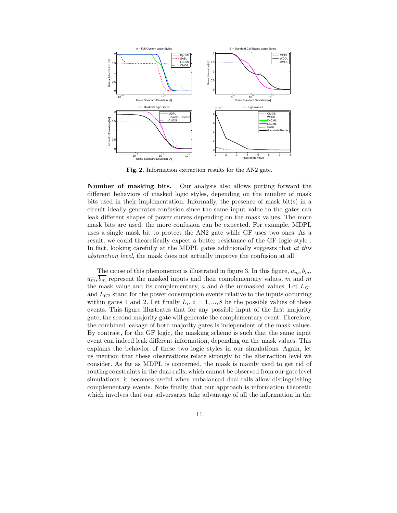

Fig. 2. Information extraction results for the AN2 gate.

Number of masking bits. Our analysis also allows putting forward the different behaviors of masked logic styles, depending on the number of mask bits used in their implementation. Informally, the presence of mask bit(s) in a circuit ideally generates confusion since the same input value to the gates can leak different shapes of power curves depending on the mask values. The more mask bits are used, the more confusion can be expected. For example, MDPL uses a single mask bit to protect the AN2 gate while GF uses two ones. As a result, we could theoretically expect a better resistance of the GF logic style . In fact, looking carefully at the MDPL gates additionally suggests that *at this* abstraction level, the mask does not actually improve the confusion at all.

The cause of this phenomenon is illustrated in figure 3. In this figure,  $a_m, b_m$ ,  $\overline{a_m}, \overline{b_m}$  represent the masked inputs and their complementary values, m and  $\overline{m}$ the mask value and its complementary, a and b the unmasked values. Let  $L_{G1}$ and  $L_{G2}$  stand for the power consumption events relative to the inputs occurring within gates 1 and 2. Let finally  $L_i$ ,  $i = 1, ..., 8$  be the possible values of these events. This figure illustrates that for any possible input of the first majority gate, the second majority gate will generate the complementary event. Therefore, the combined leakage of both majority gates is independent of the mask values. By contrast, for the GF logic, the masking scheme is such that the same input event can indeed leak different information, depending on the mask values. This explains the behavior of these two logic styles in our simulations. Again, let us mention that these observations relate strongly to the abstraction level we consider. As far as MDPL is concerned, the mask is mainly used to get rid of routing constraints in the dual-rails, which cannot be observed from our gate level simulations: it becomes useful when unbalanced dual-rails allow distinguishing complementary events. Note finally that our approach is information theoretic which involves that our adversaries take advantage of all the information in the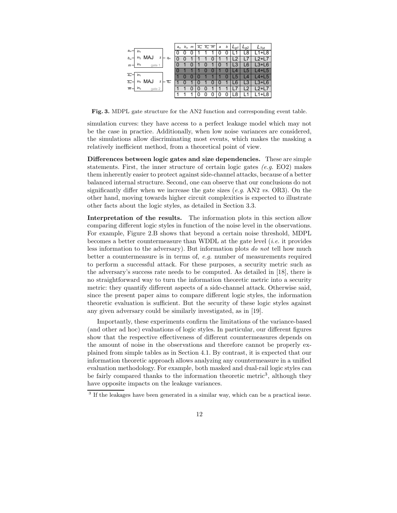|                                              | $a_m$ | $b_m$    | $\mathsf{m}$ | $\overline{a_m}$ | $\overline{b_m}$ $\overline{m}$ | a | b | $-91$          | $-g2$ . | $L_{Tot}$                 |
|----------------------------------------------|-------|----------|--------------|------------------|---------------------------------|---|---|----------------|---------|---------------------------|
| $a_m$<br>$in_1$                              | U     | U        | 0            |                  |                                 | O | 0 |                | L8      | $1+L8$                    |
| in <sub>2</sub> MAJ<br>z<br>$b_m$<br>$q_m$   |       | O        |              |                  | U                               |   |   |                |         | $L2+L7$                   |
| $in_3$<br>gate 1<br>$m -$                    |       |          | 0            |                  |                                 | O | 1 | L <sub>3</sub> | L6      | $L3+L6$                   |
|                                              |       |          |              |                  |                                 |   | 0 | 4              | .5      | $4+L5$                    |
| $\overline{a_m}$<br>$in_1$                   |       | $\Omega$ | 0            |                  |                                 |   | 0 | L5             | 4       | $4+L5$                    |
| in <sub>2</sub> MAJ<br>$b_m$ -<br>z<br>$q_m$ |       | 0        |              |                  |                                 | 0 |   | L6             | L3      | $L3+L6$                   |
| $in_3$<br>$\overline{m}$ -<br>gate 2         |       |          | 0            |                  |                                 |   |   |                | L2      | $L2+L7$                   |
|                                              |       |          |              |                  |                                 | 0 | 0 | L8             |         | $.1 + L8$<br>$\mathbf{L}$ |

Fig. 3. MDPL gate structure for the AN2 function and corresponding event table.

simulation curves: they have access to a perfect leakage model which may not be the case in practice. Additionally, when low noise variances are considered, the simulations allow discriminating most events, which makes the masking a relatively inefficient method, from a theoretical point of view.

Differences between logic gates and size dependencies. These are simple statements. First, the inner structure of certain logic gates  $(e.g. EO2)$  makes them inherently easier to protect against side-channel attacks, because of a better balanced internal structure. Second, one can observe that our conclusions do not significantly differ when we increase the gate sizes  $(e.g. AN2 vs. OR3)$ . On the other hand, moving towards higher circuit complexities is expected to illustrate other facts about the logic styles, as detailed in Section 3.3.

Interpretation of the results. The information plots in this section allow comparing different logic styles in function of the noise level in the observations. For example, Figure 2.B shows that beyond a certain noise threshold, MDPL becomes a better countermeasure than WDDL at the gate level  $(i.e.$  it provides less information to the adversary). But information plots do not tell how much better a countermeasure is in terms of, e.g. number of measurements required to perform a successful attack. For these purposes, a security metric such as the adversary's success rate needs to be computed. As detailed in [18], there is no straightforward way to turn the information theoretic metric into a security metric: they quantify different aspects of a side-channel attack. Otherwise said, since the present paper aims to compare different logic styles, the information theoretic evaluation is sufficient. But the security of these logic styles against any given adversary could be similarly investigated, as in [19].

Importantly, these experiments confirm the limitations of the variance-based (and other ad hoc) evaluations of logic styles. In particular, our different figures show that the respective effectiveness of different countermeasures depends on the amount of noise in the observations and therefore cannot be properly explained from simple tables as in Section 4.1. By contrast, it is expected that our information theoretic approach allows analyzing any countermeasure in a unified evaluation methodology. For example, both masked and dual-rail logic styles can be fairly compared thanks to the information theoretic metric<sup>3</sup>, although they have opposite impacts on the leakage variances.

<sup>&</sup>lt;sup>3</sup> If the leakages have been generated in a similar way, which can be a practical issue.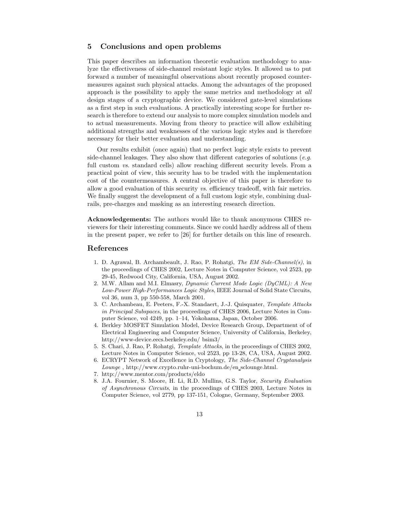## 5 Conclusions and open problems

This paper describes an information theoretic evaluation methodology to analyze the effectiveness of side-channel resistant logic styles. It allowed us to put forward a number of meaningful observations about recently proposed countermeasures against such physical attacks. Among the advantages of the proposed approach is the possibility to apply the same metrics and methodology at all design stages of a cryptographic device. We considered gate-level simulations as a first step in such evaluations. A practically interesting scope for further research is therefore to extend our analysis to more complex simulation models and to actual measurements. Moving from theory to practice will allow exhibiting additional strengths and weaknesses of the various logic styles and is therefore necessary for their better evaluation and understanding.

Our results exhibit (once again) that no perfect logic style exists to prevent side-channel leakages. They also show that different categories of solutions (e.g. full custom vs. standard cells) allow reaching different security levels. From a practical point of view, this security has to be traded with the implementation cost of the countermeasures. A central objective of this paper is therefore to allow a good evaluation of this security vs. efficiency tradeoff, with fair metrics. We finally suggest the development of a full custom logic style, combining dualrails, pre-charges and masking as an interesting research direction.

Acknowledgements: The authors would like to thank anonymous CHES reviewers for their interesting comments. Since we could hardly address all of them in the present paper, we refer to [26] for further details on this line of research.

#### References

- 1. D. Agrawal, B. Archambeault, J. Rao, P. Rohatgi, The EM Side-Channel(s), in the proceedings of CHES 2002, Lecture Notes in Computer Science, vol 2523, pp 29-45, Redwood City, California, USA, August 2002.
- 2. M.W. Allam and M.I. Elmasry, Dynamic Current Mode Logic (DyCML): A New Low-Power High-Performances Logic Styles, IEEE Journal of Solid State Circuits, vol 36, num 3, pp 550-558, March 2001.
- 3. C. Archambeau, E. Peeters, F.-X. Standaert, J.-J. Quisquater, Template Attacks in Principal Subspaces, in the proceedings of CHES 2006, Lecture Notes in Computer Science, vol 4249, pp. 1–14, Yokohama, Japan, October 2006.
- 4. Berkley MOSFET Simulation Model, Device Research Group, Department of of Electrical Engineering and Computer Science, University of California, Berkeley, http://www-device.eecs.berkeley.edu/ bsim3/
- 5. S. Chari, J. Rao, P. Rohatgi, Template Attacks, in the proceedings of CHES 2002, Lecture Notes in Computer Science, vol 2523, pp 13-28, CA, USA, August 2002.
- 6. ECRYPT Network of Excellence in Cryptology, The Side-Channel Cryptanalysis Lounge , http://www.crypto.ruhr-uni-bochum.de/en sclounge.html.
- 7. http://www.mentor.com/products/eldo
- 8. J.A. Fournier, S. Moore, H. Li, R.D. Mullins, G.S. Taylor, Security Evaluation of Asynchronous Circuits, in the proceedings of CHES 2003, Lecture Notes in Computer Science, vol 2779, pp 137-151, Cologne, Germany, September 2003.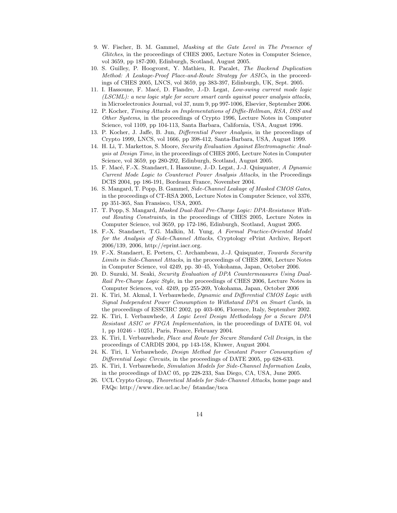- 9. W. Fischer, B. M. Gammel, Masking at the Gate Level in The Presence of Glitches, in the proceedings of CHES 2005, Lecture Notes in Computer Science, vol 3659, pp 187-200, Edinburgh, Scotland, August 2005.
- 10. S. Guilley, P. Hoogvorst, Y. Mathieu, R. Pacalet, The Backend Duplication Method: A Leakage-Proof Place-and-Route Strategy for ASICs, in the proceedings of CHES 2005, LNCS, vol 3659, pp 383-397, Edinburgh, UK, Sept. 2005.
- 11. I. Hassoune, F. Macé, D. Flandre, J.-D. Legat, Low-swing current mode logic (LSCML): a new logic style for secure smart cards against power analysis attacks, in Microelectronics Journal, vol 37, num 9, pp 997-1006, Elsevier, September 2006.
- 12. P. Kocher, Timing Attacks on Implementations of Diffie-Hellman, RSA, DSS and Other Systems, in the proceedings of Crypto 1996, Lecture Notes in Computer Science, vol 1109, pp 104-113, Santa Barbara, California, USA, August 1996.
- 13. P. Kocher, J. Jaffe, B. Jun, Differential Power Analysis, in the proceedings of Crypto 1999, LNCS, vol 1666, pp 398-412, Santa-Barbara, USA, August 1999.
- 14. H. Li, T. Markettos, S. Moore, Security Evaluation Against Electromagnetic Analysis at Design Time, in the proceedings of CHES 2005, Lecture Notes in Computer Science, vol 3659, pp 280-292, Edinburgh, Scotland, August 2005.
- 15. F. Macé, F.-X. Standaert, I. Hassoune, J.-D. Legat, J.-J. Quisquater, A Dynamic Current Mode Logic to Counteract Power Analysis Attacks, in the Proceedings DCIS 2004, pp 186-191, Bordeaux France, November 2004.
- 16. S. Mangard, T. Popp, B. Gammel, Side-Channel Leakage of Masked CMOS Gates, in the proceedings of CT-RSA 2005, Lecture Notes in Computer Science, vol 3376, pp 351-365, San Fransisco, USA, 2005.
- 17. T. Popp, S. Mangard, Masked Dual-Rail Pre-Charge Logic: DPA-Resistance Without Routing Constraints, in the proceedings of CHES 2005, Lecture Notes in Computer Science, vol 3659, pp 172-186, Edinburgh, Scotland, August 2005.
- 18. F.-X. Standaert, T.G. Malkin, M. Yung, A Formal Practice-Oriented Model for the Analysis of Side-Channel Attacks, Cryptology ePrint Archive, Report 2006/139, 2006, http://eprint.iacr.org.
- 19. F.-X. Standaert, E. Peeters, C. Archambeau, J.-J. Quisquater, Towards Security Limits in Side-Channel Attacks, in the proceedings of CHES 2006, Lecture Notes in Computer Science, vol 4249, pp. 30–45, Yokohama, Japan, October 2006.
- 20. D. Suzuki, M. Seaki, Security Evaluation of DPA Countermeasures Using Dual-Rail Pre-Charge Logic Style, in the proceedings of CHES 2006, Lecture Notes in Computer Sciences, vol. 4249, pp 255-269, Yokohama, Japan, October 2006
- 21. K. Tiri, M. Akmal, I. Verbauwhede, Dynamic and Differential CMOS Logic with Signal Independent Power Consumption to Withstand DPA on Smart Cards, in the proceedings of ESSCIRC 2002, pp 403-406, Florence, Italy, September 2002.
- 22. K. Tiri, I. Verbauwhede, A Logic Level Design Methodology for a Secure DPA Resistant ASIC or FPGA Implementation, in the proceedings of DATE 04, vol 1, pp 10246 - 10251, Paris, France, February 2004.
- 23. K. Tiri, I. Verbauwhede, Place and Route for Secure Standard Cell Design, in the proceedings of CARDIS 2004, pp 143-158, Kluwer, August 2004.
- 24. K. Tiri, I. Verbauwhede, Design Method for Constant Power Consumption of Differential Logic Circuits, in the proceedings of DATE 2005, pp 628-633.
- 25. K. Tiri, I. Verbauwhede, Simulation Models for Side-Channel Information Leaks, in the proceedings of DAC 05, pp 228-233, San Diego, CA, USA, June 2005.
- 26. UCL Crypto Group, Theoretical Models for Side-Channel Attacks, home page and FAQs: http://www.dice.ucl.ac.be/ fstandae/tsca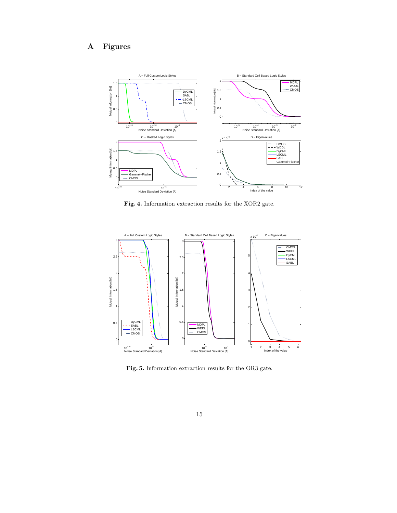## A Figures



Fig. 4. Information extraction results for the XOR2 gate.



Fig. 5. Information extraction results for the OR3 gate.